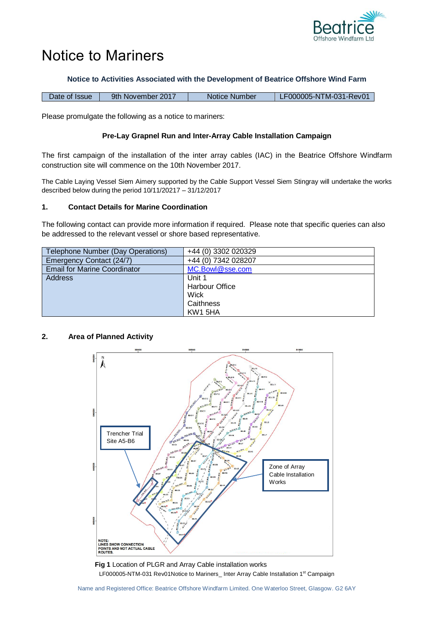

# Notice to Mariners

## **Notice to Activities Associated with the Development of Beatrice Offshore Wind Farm**

| 9th November 2017<br>Date of Issue | Notice Number | LF000005-NTM-031-Rev01 |
|------------------------------------|---------------|------------------------|
|------------------------------------|---------------|------------------------|

Please promulgate the following as a notice to mariners:

## **Pre-Lay Grapnel Run and Inter-Array Cable Installation Campaign**

The first campaign of the installation of the inter array cables (IAC) in the Beatrice Offshore Windfarm construction site will commence on the 10th November 2017.

The Cable Laying Vessel Siem Aimery supported by the Cable Support Vessel Siem Stingray will undertake the works described below during the period 10/11/20217 – 31/12/2017

## **1. Contact Details for Marine Coordination**

The following contact can provide more information if required. Please note that specific queries can also be addressed to the relevant vessel or shore based representative.

| Telephone Number (Day Operations)   | +44 (0) 3302 020329   |
|-------------------------------------|-----------------------|
| Emergency Contact (24/7)            | +44 (0) 7342 028207   |
| <b>Email for Marine Coordinator</b> | MC.Bowl@sse.com       |
| <b>Address</b>                      | Unit 1                |
|                                     | <b>Harbour Office</b> |
|                                     | Wick                  |
|                                     | Caithness             |
|                                     | KW1 5HA               |

## **2. Area of Planned Activity**



LF000005-NTM-031 Rev01Notice to Mariners\_ Inter Array Cable Installation 1<sup>st</sup> Campaign **Fig 1** Location of PLGR and Array Cable installation works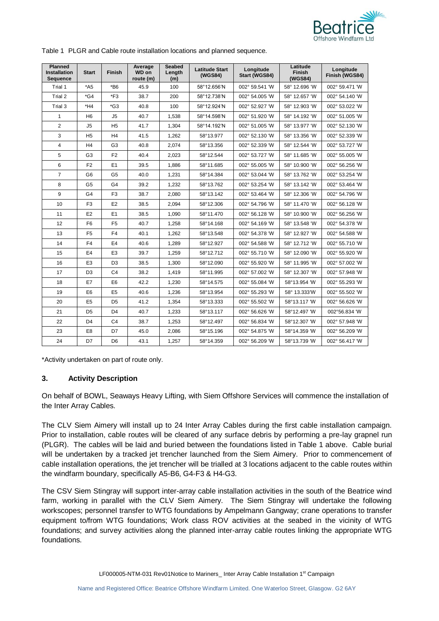

|  | Table 1 PLGR and Cable route installation locations and planned sequence. |  |  |
|--|---------------------------------------------------------------------------|--|--|
|  |                                                                           |  |  |

| <b>Planned</b><br><b>Installation</b><br>Sequence | <b>Start</b>   | <b>Finish</b>  | Average<br>WD on<br>route (m) | <b>Seabed</b><br>Length<br>(m) | <b>Latitude Start</b><br>(WGS84) | Longitude<br>Start (WGS84) | Latitude<br><b>Finish</b><br>(WGS84) | Longitude<br>Finish (WGS84) |
|---------------------------------------------------|----------------|----------------|-------------------------------|--------------------------------|----------------------------------|----------------------------|--------------------------------------|-----------------------------|
| Trial 1                                           | $*$ A5         | $*B6$          | 45.9                          | 100                            | 58°12.656'N                      | 002° 59.541 'W             | 58° 12.696 'W                        | 002° 59.471 'W              |
| Trial 2                                           | $*$ G4         | $*F3$          | 38.7                          | 200                            | 58°12.738'N                      | 002° 54.005 'W             | 58° 12.657 'W                        | 002° 54.140 'W              |
| Trial 3                                           | $*H4$          | $*$ G3         | 40.8                          | 100                            | 58°12.924'N                      | 002° 52.927 'W             | 58° 12.903 'W                        | 002° 53.022 'W              |
| 1                                                 | H <sub>6</sub> | J5             | 40.7                          | 1,538                          | 58°14.598'N                      | 002° 51.920 'W             | 58° 14.192 'W                        | 002° 51.005 'W              |
| 2                                                 | J5             | H <sub>5</sub> | 41.7                          | 1,304                          | 58°14.192'N                      | 002° 51.005 'W             | 58° 13.977 'W                        | 002° 52.130 'W              |
| 3                                                 | H <sub>5</sub> | H <sub>4</sub> | 41.5                          | 1,262                          | 58°13.977                        | 002° 52.130 'W             | 58° 13.356 'W                        | 002° 52.339 'W              |
| 4                                                 | H <sub>4</sub> | G <sub>3</sub> | 40.8                          | 2,074                          | 58°13.356                        | 002° 52.339 'W             | 58° 12.544 'W                        | 002° 53.727 'W              |
| 5                                                 | G <sub>3</sub> | F <sub>2</sub> | 40.4                          | 2,023                          | 58°12.544                        | 002° 53.727 'W             | 58° 11.685 'W                        | 002° 55.005 'W              |
| 6                                                 | F <sub>2</sub> | E1             | 39.5                          | 1,886                          | 58°11.685                        | 002° 55.005 'W             | 58° 10.900 'W                        | 002° 56.256 'W              |
| $\overline{7}$                                    | G <sub>6</sub> | G <sub>5</sub> | 40.0                          | 1,231                          | 58°14.384                        | 002° 53.044 'W             | 58° 13.762 'W                        | 002° 53.254 'W              |
| 8                                                 | G <sub>5</sub> | G4             | 39.2                          | 1,232                          | 58°13.762                        | 002° 53.254 'W             | 58° 13.142 'W                        | 002° 53.464 'W              |
| 9                                                 | G <sub>4</sub> | F <sub>3</sub> | 38.7                          | 2.080                          | 58°13.142                        | 002° 53.464 'W             | 58° 12.306 'W                        | 002° 54.796 'W              |
| 10                                                | F <sub>3</sub> | E <sub>2</sub> | 38.5                          | 2,094                          | 58°12.306                        | 002° 54.796 'W             | 58° 11.470 'W                        | 002° 56.128 'W              |
| 11                                                | E <sub>2</sub> | E <sub>1</sub> | 38.5                          | 1,090                          | 58°11.470                        | 002° 56.128 'W             | 58° 10.900 'W                        | 002° 56.256 'W              |
| 12                                                | F <sub>6</sub> | F <sub>5</sub> | 40.7                          | 1,258                          | 58°14.168                        | 002° 54.169 'W             | 58° 13.548 'W                        | 002° 54.378 'W              |
| 13                                                | F <sub>5</sub> | F <sub>4</sub> | 40.1                          | 1,262                          | 58°13.548                        | 002° 54.378 'W             | 58° 12.927 'W                        | 002° 54.588 'W              |
| 14                                                | F <sub>4</sub> | E <sub>4</sub> | 40.6                          | 1,289                          | 58°12.927                        | 002° 54.588 'W             | 58° 12.712 'W                        | 002° 55.710 'W              |
| 15                                                | E4             | E <sub>3</sub> | 39.7                          | 1,259                          | 58°12.712                        | 002° 55.710 'W             | 58° 12.090 'W                        | 002° 55.920 'W              |
| 16                                                | E <sub>3</sub> | D <sub>3</sub> | 38.5                          | 1,300                          | 58°12.090                        | 002° 55.920 'W             | 58° 11.995 'W                        | 002° 57.002 'W              |
| 17                                                | D <sub>3</sub> | C <sub>4</sub> | 38.2                          | 1,419                          | 58°11.995                        | 002° 57.002 'W             | 58° 12.307 'W                        | 002° 57.948 'W              |
| 18                                                | E7             | E <sub>6</sub> | 42.2                          | 1,230                          | 58°14.575                        | 002° 55.084 'W             | 58°13.954 W                          | 002° 55.293 'W              |
| 19                                                | E <sub>6</sub> | E <sub>5</sub> | 40.6                          | 1,236                          | 58°13.954                        | 002° 55.293 'W             | 58° 13.333° W                        | 002° 55.502 'W              |
| 20                                                | E <sub>5</sub> | D <sub>5</sub> | 41.2                          | 1,354                          | 58°13.333                        | 002° 55.502 'W             | 58°13.117 W                          | 002° 56.626 'W              |
| 21                                                | D <sub>5</sub> | D <sub>4</sub> | 40.7                          | 1,233                          | 58°13.117                        | 002° 56.626 'W             | 58°12.497 W                          | 002°56.834 'W               |
| 22                                                | D <sub>4</sub> | C <sub>4</sub> | 38.7                          | 1,253                          | 58°12.497                        | 002° 56.834 'W             | 58°12.307 'W                         | 002° 57.948 'W              |
| 23                                                | E8             | D7             | 45.0                          | 2,086                          | 58°15.196                        | 002° 54.875 'W             | 58°14.359 W                          | 002° 56.209 'W              |
| 24                                                | D7             | D <sub>6</sub> | 43.1                          | 1,257                          | 58°14.359                        | 002° 56.209 'W             | 58°13.739 'W                         | 002° 56.417 'W              |

\*Activity undertaken on part of route only.

## **3. Activity Description**

On behalf of BOWL, Seaways Heavy Lifting, with Siem Offshore Services will commence the installation of the Inter Array Cables.

The CLV Siem Aimery will install up to 24 Inter Array Cables during the first cable installation campaign. Prior to installation, cable routes will be cleared of any surface debris by performing a pre-lay grapnel run (PLGR). The cables will be laid and buried between the foundations listed in Table 1 above. Cable burial will be undertaken by a tracked jet trencher launched from the Siem Aimery. Prior to commencement of cable installation operations, the jet trencher will be trialled at 3 locations adjacent to the cable routes within the windfarm boundary, specifically A5-B6, G4-F3 & H4-G3.

The CSV Siem Stingray will support inter-array cable installation activities in the south of the Beatrice wind farm, working in parallel with the CLV Siem Aimery. The Siem Stingray will undertake the following workscopes; personnel transfer to WTG foundations by Ampelmann Gangway; crane operations to transfer equipment to/from WTG foundations; Work class ROV activities at the seabed in the vicinity of WTG foundations; and survey activities along the planned inter-array cable routes linking the appropriate WTG foundations.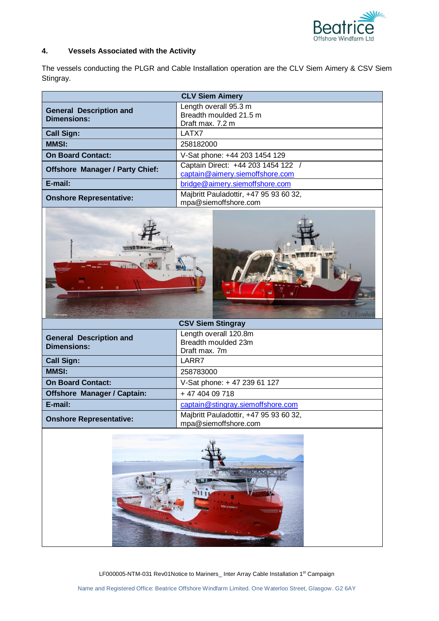

## **4. Vessels Associated with the Activity**

The vessels conducting the PLGR and Cable Installation operation are the CLV Siem Aimery & CSV Siem Stingray.

| <b>CLV Siem Aimery</b>                               |                                                                       |  |
|------------------------------------------------------|-----------------------------------------------------------------------|--|
| <b>General Description and</b><br><b>Dimensions:</b> | Length overall 95.3 m<br>Breadth moulded 21.5 m<br>Draft max. 7.2 m   |  |
| <b>Call Sign:</b>                                    | LATX7                                                                 |  |
| <b>MMSI:</b>                                         | 258182000                                                             |  |
| <b>On Board Contact:</b>                             | V-Sat phone: +44 203 1454 129                                         |  |
| <b>Offshore Manager / Party Chief:</b>               | Captain Direct: +44 203 1454 122 /<br>captain@aimery.siemoffshore.com |  |
| E-mail:                                              | bridge@aimery.siemoffshore.com                                        |  |
| <b>Onshore Representative:</b>                       | Majbritt Pauladottir, +47 95 93 60 32,<br>mpa@siemoffshore.com        |  |



| <b>CSV Siem Stingray</b>                             |                                                                |  |
|------------------------------------------------------|----------------------------------------------------------------|--|
| <b>General Description and</b><br><b>Dimensions:</b> | Length overall 120.8m<br>Breadth moulded 23m<br>Draft max. 7m  |  |
| <b>Call Sign:</b>                                    | LARR7                                                          |  |
| <b>MMSI:</b>                                         | 258783000                                                      |  |
| <b>On Board Contact:</b>                             | V-Sat phone: +47 239 61 127                                    |  |
| <b>Offshore Manager / Captain:</b>                   | + 47 404 09 718                                                |  |
| E-mail:                                              | captain@stingray.siemoffshore.com                              |  |
| <b>Onshore Representative:</b>                       | Majbritt Pauladottir, +47 95 93 60 32,<br>mpa@siemoffshore.com |  |



LF000005-NTM-031 Rev01Notice to Mariners\_ Inter Array Cable Installation 1st Campaign